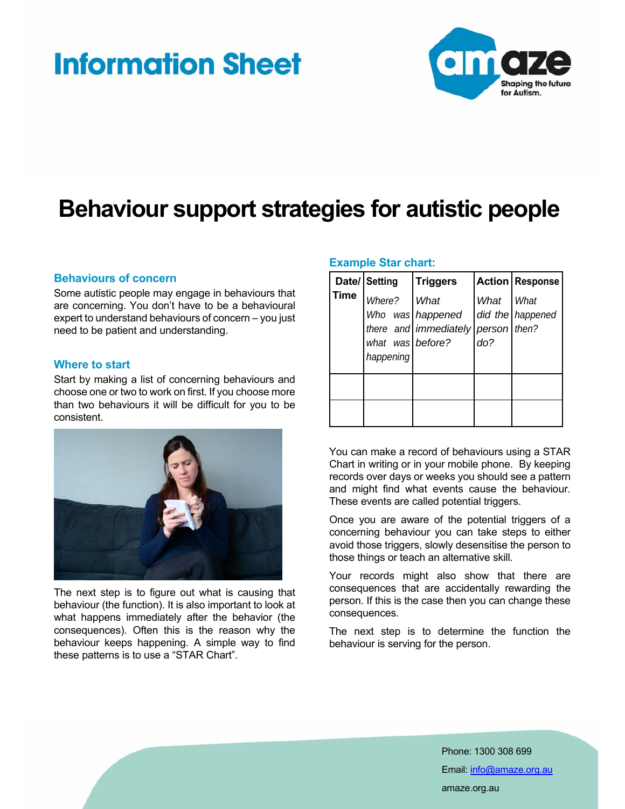# **Information Sheet**



## **Behaviour support strategies for autistic people**

### **Behaviours of concern**

Some autistic people may engage in behaviours that are concerning. You don't have to be a behavioural expert to understand behaviours of concern – you just need to be patient and understanding.

### **Where to start**

Start by making a list of concerning behaviours and choose one or two to work on first. If you choose more than two behaviours it will be difficult for you to be consistent.



The next step is to figure out what is causing that behaviour (the function). It is also important to look at what happens immediately after the behavior (the consequences). Often this is the reason why the behaviour keeps happening. A simple way to find these patterns is to use a "STAR Chart".

#### **Example Star chart:**

|             | Date/ Setting                           | <b>Triggers</b>                                                |             | <b>Action Response</b>     |
|-------------|-----------------------------------------|----------------------------------------------------------------|-------------|----------------------------|
| <b>Time</b> | Where?<br>what was before?<br>happening | What<br>Who was happened<br>there and immediately person then? | What<br>do? | ∣ What<br>did the happened |
|             |                                         |                                                                |             |                            |
|             |                                         |                                                                |             |                            |

You can make a record of behaviours using a STAR Chart in writing or in your mobile phone. By keeping records over days or weeks you should see a pattern and might find what events cause the behaviour. These events are called potential triggers.

Once you are aware of the potential triggers of a concerning behaviour you can take steps to either avoid those triggers, slowly desensitise the person to those things or teach an alternative skill.

Your records might also show that there are consequences that are accidentally rewarding the person. If this is the case then you can change these consequences.

The next step is to determine the function the behaviour is serving for the person.

> Phone: 1300 308 699 Email: info@amaze.org.au amaze.org.au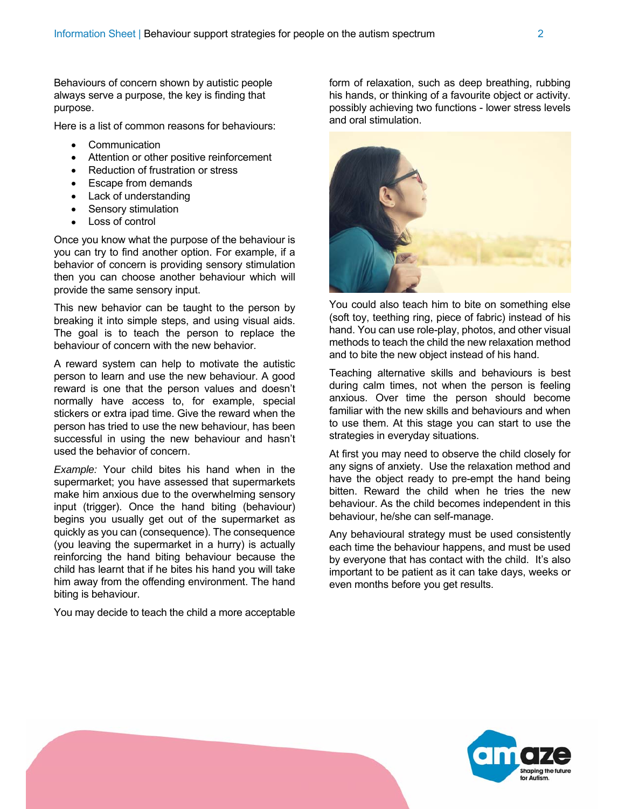Behaviours of concern shown by autistic people always serve a purpose, the key is finding that purpose.

Here is a list of common reasons for behaviours:

- **Communication**
- Attention or other positive reinforcement
- Reduction of frustration or stress
- Escape from demands
- Lack of understanding
- Sensory stimulation
- Loss of control

Once you know what the purpose of the behaviour is you can try to find another option. For example, if a behavior of concern is providing sensory stimulation then you can choose another behaviour which will provide the same sensory input.

This new behavior can be taught to the person by breaking it into simple steps, and using visual aids. The goal is to teach the person to replace the behaviour of concern with the new behavior.

A reward system can help to motivate the autistic person to learn and use the new behaviour. A good reward is one that the person values and doesn't normally have access to, for example, special stickers or extra ipad time. Give the reward when the person has tried to use the new behaviour, has been successful in using the new behaviour and hasn't used the behavior of concern.

*Example:* Your child bites his hand when in the supermarket; you have assessed that supermarkets make him anxious due to the overwhelming sensory input (trigger). Once the hand biting (behaviour) begins you usually get out of the supermarket as quickly as you can (consequence). The consequence (you leaving the supermarket in a hurry) is actually reinforcing the hand biting behaviour because the child has learnt that if he bites his hand you will take him away from the offending environment. The hand biting is behaviour.

You may decide to teach the child a more acceptable

form of relaxation, such as deep breathing, rubbing his hands, or thinking of a favourite object or activity. possibly achieving two functions - lower stress levels and oral stimulation.



You could also teach him to bite on something else (soft toy, teething ring, piece of fabric) instead of his hand. You can use role-play, photos, and other visual methods to teach the child the new relaxation method and to bite the new object instead of his hand.

Teaching alternative skills and behaviours is best during calm times, not when the person is feeling anxious. Over time the person should become familiar with the new skills and behaviours and when to use them. At this stage you can start to use the strategies in everyday situations.

At first you may need to observe the child closely for any signs of anxiety. Use the relaxation method and have the object ready to pre-empt the hand being bitten. Reward the child when he tries the new behaviour. As the child becomes independent in this behaviour, he/she can self-manage.

Any behavioural strategy must be used consistently each time the behaviour happens, and must be used by everyone that has contact with the child. It's also important to be patient as it can take days, weeks or even months before you get results.